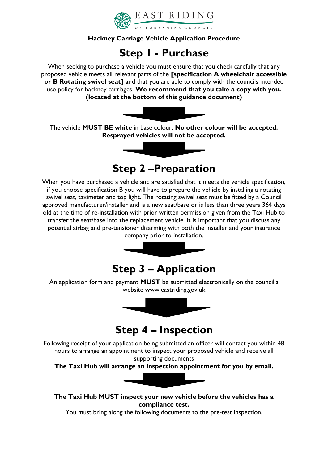

## **Hackney Carriage Vehicle Application Procedure**

# **Step 1 - Purchase**

When seeking to purchase a vehicle you must ensure that you check carefully that any proposed vehicle meets all relevant parts of the **[specification A wheelchair accessible or B Rotating swivel seat]** and that you are able to comply with the councils intended use policy for hackney carriages. **We recommend that you take a copy with you. (located at the bottom of this guidance document)**



The vehicle **MUST BE white** in base colour. **No other colour will be accepted. Resprayed vehicles will not be accepted.** 



# **Step 2 –Preparation**

When you have purchased a vehicle and are satisfied that it meets the vehicle specification, if you choose specification B you will have to prepare the vehicle by installing a rotating swivel seat, taximeter and top light. The rotating swivel seat must be fitted by a Council approved manufacturer/installer and is a new seat/base or is less than three years 364 days old at the time of re-installation with prior written permission given from the Taxi Hub to transfer the seat/base into the replacement vehicle. It is important that you discuss any potential airbag and pre-tensioner disarming with both the installer and your insurance company prior to installation.



# **Step 3 – Application**

An application form and payment **MUST** be submitted electronically on the council's website www.eastriding.gov.uk



# **Step 4 – Inspection**

Following receipt of your application being submitted an officer will contact you within 48 hours to arrange an appointment to inspect your proposed vehicle and receive all supporting documents

**The Taxi Hub will arrange an inspection appointment for you by email.**



**The Taxi Hub MUST inspect your new vehicle before the vehicles has a compliance test.** 

You must bring along the following documents to the pre-test inspection.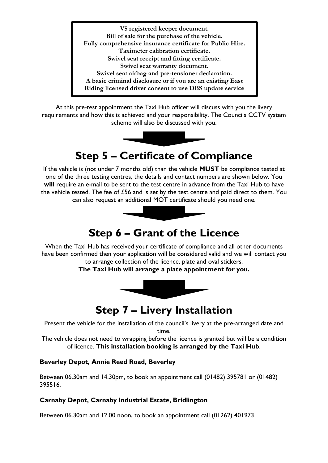**V5 registered keeper document. Bill of sale for the purchase of the vehicle. Fully comprehensive insurance certificate for Public Hire. Taximeter calibration certificate. Swivel seat receipt and fitting certificate. Swivel seat warranty document. Swivel seat airbag and pre-tensioner declaration. A basic criminal disclosure or if you are an existing East Riding licensed driver consent to use DBS update service** 

At this pre-test appointment the Taxi Hub officer will discuss with you the livery requirements and how this is achieved and your responsibility. The Councils CCTV system scheme will also be discussed with you.



# **Step 5 – Certificate of Compliance**

If the vehicle is (not under 7 months old) than the vehicle **MUST** be compliance tested at one of the three testing centres, the details and contact numbers are shown below. You **will** require an e-mail to be sent to the test centre in advance from the Taxi Hub to have the vehicle tested. The fee of £56 and is set by the test centre and paid direct to them. You can also request an additional MOT certificate should you need one.



# **Step 6 – Grant of the Licence**

When the Taxi Hub has received your certificate of compliance and all other documents have been confirmed then your application will be considered valid and we will contact you to arrange collection of the licence, plate and oval stickers.

**The Taxi Hub will arrange a plate appointment for you.**



# **Step 7 – Livery Installation**

Present the vehicle for the installation of the council's livery at the pre-arranged date and time.

The vehicle does not need to wrapping before the licence is granted but will be a condition of licence. **This installation booking is arranged by the Taxi Hub**.

#### **Beverley Depot, Annie Reed Road, Beverley**

Between 06.30am and 14.30pm, to book an appointment call (01482) 395781 or (01482) 395516.

#### **Carnaby Depot, Carnaby Industrial Estate, Bridlington**

Between 06.30am and 12.00 noon, to book an appointment call (01262) 401973.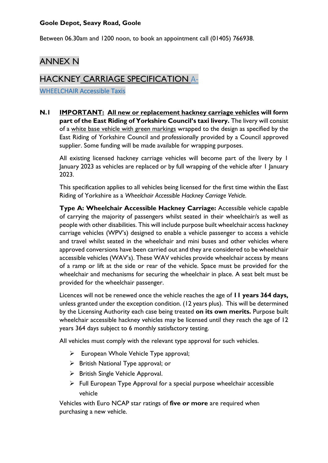# **Goole Depot, Seavy Road, Goole**

Between 06.30am and 1200 noon, to book an appointment call (01405) 766938.

# ANNEX N

# HACKNEY CARRIAGE SPECIFICATION A-

WHEELCHAIR Accessible Taxis

**N.1 IMPORTANT: All new or replacement hackney carriage vehicles will form part of the East Riding of Yorkshire Council's taxi livery.** The livery will consist of a white base vehicle with green markings wrapped to the design as specified by the East Riding of Yorkshire Council and professionally provided by a Council approved supplier. Some funding will be made available for wrapping purposes.

All existing licensed hackney carriage vehicles will become part of the livery by 1 January 2023 as vehicles are replaced or by full wrapping of the vehicle after 1 January 2023.

This specification applies to all vehicles being licensed for the first time within the East Riding of Yorkshire as a *Wheelchair Accessible Hackney Carriage Vehicle.*

**Type A: Wheelchair Accessible Hackney Carriage:** Accessible vehicle capable of carrying the majority of passengers whilst seated in their wheelchair/s as well as people with other disabilities. This will include purpose built wheelchair access hackney carriage vehicles (WPV's) designed to enable a vehicle passenger to access a vehicle and travel whilst seated in the wheelchair and mini buses and other vehicles where approved conversions have been carried out and they are considered to be wheelchair accessible vehicles (WAV's). These WAV vehicles provide wheelchair access by means of a ramp or lift at the side or rear of the vehicle. Space must be provided for the wheelchair and mechanisms for securing the wheelchair in place. A seat belt must be provided for the wheelchair passenger.

Licences will not be renewed once the vehicle reaches the age of **11 years 364 days,** unless granted under the exception condition. (12 years plus). This will be determined by the Licensing Authority each case being treated **on its own merits.** Purpose built wheelchair accessible hackney vehicles may be licensed until they reach the age of 12 years 364 days subject to 6 monthly satisfactory testing.

All vehicles must comply with the relevant type approval for such vehicles.

- ➢ European Whole Vehicle Type approval;
- ➢ British National Type approval; or
- ➢ British Single Vehicle Approval.
- ➢ Full European Type Approval for a special purpose wheelchair accessible vehicle

Vehicles with Euro NCAP star ratings of **five or more** are required when purchasing a new vehicle.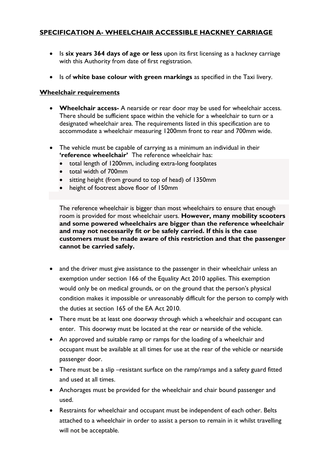# **SPECIFICATION A- WHEELCHAIR ACCESSIBLE HACKNEY CARRIAGE**

- Is **six years 364 days of age or less** upon its first licensing as a hackney carriage with this Authority from date of first registration.
- Is of **white base colour with green markings** as specified in the Taxi livery.

#### **Wheelchair requirements**

- **Wheelchair access-** A nearside or rear door may be used for wheelchair access. There should be sufficient space within the vehicle for a wheelchair to turn or a designated wheelchair area. The requirements listed in this specification are to accommodate a wheelchair measuring 1200mm front to rear and 700mm wide.
- The vehicle must be capable of carrying as a minimum an individual in their **'reference wheelchair'** The reference wheelchair has:
	- total length of 1200mm, including extra-long footplates
	- total width of 700mm
	- sitting height (from ground to top of head) of 1350mm
	- height of footrest above floor of 150mm

The reference wheelchair is bigger than most wheelchairs to ensure that enough room is provided for most wheelchair users. **However, many mobility scooters and some powered wheelchairs are bigger than the reference wheelchair and may not necessarily fit or be safely carried. If this is the case customers must be made aware of this restriction and that the passenger cannot be carried safely.** 

- and the driver must give assistance to the passenger in their wheelchair unless an exemption under section 166 of the Equality Act 2010 applies. This exemption would only be on medical grounds, or on the ground that the person's physical condition makes it impossible or unreasonably difficult for the person to comply with the duties at section 165 of the EA Act 2010.
- There must be at least one doorway through which a wheelchair and occupant can enter. This doorway must be located at the rear or nearside of the vehicle.
- An approved and suitable ramp or ramps for the loading of a wheelchair and occupant must be available at all times for use at the rear of the vehicle or nearside passenger door.
- There must be a slip –resistant surface on the ramp/ramps and a safety guard fitted and used at all times.
- Anchorages must be provided for the wheelchair and chair bound passenger and used.
- Restraints for wheelchair and occupant must be independent of each other. Belts attached to a wheelchair in order to assist a person to remain in it whilst travelling will not be acceptable.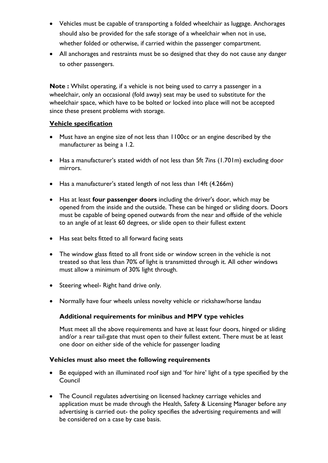- Vehicles must be capable of transporting a folded wheelchair as luggage. Anchorages should also be provided for the safe storage of a wheelchair when not in use, whether folded or otherwise, if carried within the passenger compartment.
- All anchorages and restraints must be so designed that they do not cause any danger to other passengers.

**Note :** Whilst operating, if a vehicle is not being used to carry a passenger in a wheelchair, only an occasional (fold away) seat may be used to substitute for the wheelchair space, which have to be bolted or locked into place will not be accepted since these present problems with storage.

## **Vehicle specification**

- Must have an engine size of not less than 1100cc or an engine described by the manufacturer as being a 1.2.
- Has a manufacturer's stated width of not less than 5ft 7ins (1.701m) excluding door mirrors.
- Has a manufacturer's stated length of not less than 14ft (4.266m)
- Has at least **four passenger doors** including the driver's door, which may be opened from the inside and the outside. These can be hinged or sliding doors. Doors must be capable of being opened outwards from the near and offside of the vehicle to an angle of at least 60 degrees, or slide open to their fullest extent
- Has seat belts fitted to all forward facing seats
- The window glass fitted to all front side or window screen in the vehicle is not treated so that less than 70% of light is transmitted through it. All other windows must allow a minimum of 30% light through.
- Steering wheel- Right hand drive only.
- Normally have four wheels unless novelty vehicle or rickshaw/horse landau

# **Additional requirements for minibus and MPV type vehicles**

Must meet all the above requirements and have at least four doors, hinged or sliding and/or a rear tail-gate that must open to their fullest extent. There must be at least one door on either side of the vehicle for passenger loading

# **Vehicles must also meet the following requirements**

- Be equipped with an illuminated roof sign and 'for hire' light of a type specified by the Council
- The Council regulates advertising on licensed hackney carriage vehicles and application must be made through the Health, Safety & Licensing Manager before any advertising is carried out- the policy specifies the advertising requirements and will be considered on a case by case basis.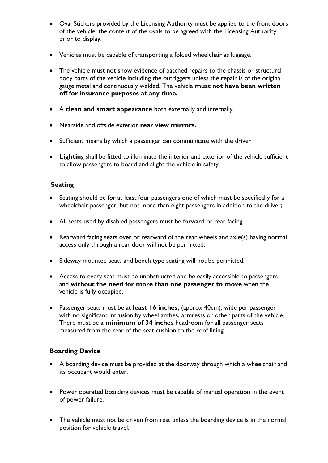- Oval Stickers provided by the Licensing Authority must be applied to the front doors of the vehicle, the content of the ovals to be agreed with the Licensing Authority prior to display.
- Vehicles must be capable of transporting a folded wheelchair as luggage.
- The vehicle must not show evidence of patched repairs to the chassis or structural body parts of the vehicle including the outriggers unless the repair is of the original gauge metal and continuously welded. The vehicle **must not have been written off for insurance purposes at any time***.*
- A **clean and smart appearance** both externally and internally.
- Nearside and offside exterior **rear view mirrors.**
- Sufficient means by which a passenger can communicate with the driver
- **Lightin**g shall be fitted to illuminate the interior and exterior of the vehicle sufficient to allow passengers to board and alight the vehicle in safety.

## **Seating**

- Seating should be for at least four passengers one of which must be specifically for a wheelchair passenger, but not more than eight passengers in addition to the driver;
- All seats used by disabled passengers must be forward or rear facing.
- Rearward facing seats over or rearward of the rear wheels and axle(s) having normal access only through a rear door will not be permitted;
- Sideway mounted seats and bench type seating will not be permitted.
- Access to every seat must be unobstructed and be easily accessible to passengers and **without the need for more than one passenger to move** when the vehicle is fully occupied.
- Passenger seats must be at **least 16 inches,** (approx 40cm), wide per passenger with no significant intrusion by wheel arches, armrests or other parts of the vehicle. There must be a **minimum of 34 inches** headroom for all passenger seats measured from the rear of the seat cushion to the roof lining.

#### **Boarding Device**

- A boarding device must be provided at the doorway through which a wheelchair and its occupant would enter.
- Power operated boarding devices must be capable of manual operation in the event of power failure.
- The vehicle must not be driven from rest unless the boarding device is in the normal position for vehicle travel.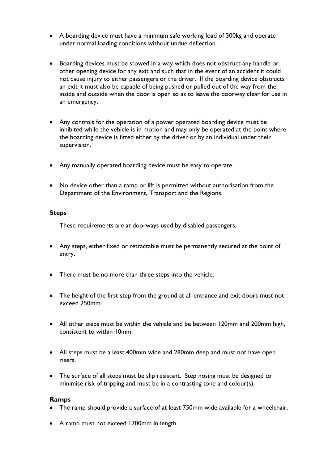- A boarding device must have a minimum safe working load of 300kg and operate under normal loading conditions without undue deflection.
- Boarding devices must be stowed in a way which does not obstruct any handle or other opening device for any exit and such that in the event of an accident it could not cause injury to either passengers or the driver. If the boarding device obstructs an exit it must also be capable of being pushed or pulled out of the way from the inside and outside when the door is open so as to leave the doorway clear for use in an emergency.
- Any controls for the operation of a power operated boarding device must be inhibited while the vehicle is in motion and may only be operated at the point where the boarding device is fitted either by the driver or by an individual under their supervision.
- Any manually operated boarding device must be easy to operate.
- No device other than a ramp or lift is permitted without authorisation from the Department of the Environment, Transport and the Regions.

#### **Steps**

These requirements are at doorways used by disabled passengers.

- Any steps, either fixed or retractable must be permanently secured at the point of entry.
- There must be no more than three steps into the vehicle.
- The height of the first step from the ground at all entrance and exit doors must not exceed 250mm.
- All other steps must be within the vehicle and be between 120mm and 200mm high, consistent to within 10mm.
- All steps must be a least 400mm wide and 280mm deep and must not have open risers.
- The surface of all steps must be slip resistant. Step nosing must be designed to minimise risk of tripping and must be in a contrasting tone and colour(s).

#### **Ramps**

- The ramp should provide a surface of at least 750mm wide available for a wheelchair.
- A ramp must not exceed 1700mm in length.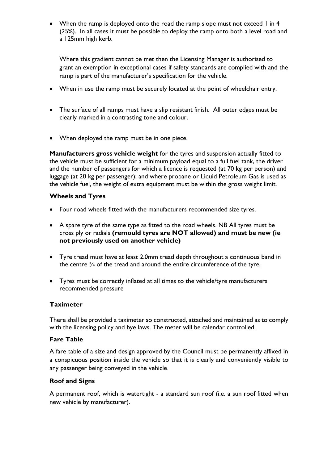• When the ramp is deployed onto the road the ramp slope must not exceed I in 4 (25%). In all cases it must be possible to deploy the ramp onto both a level road and a 125mm high kerb.

Where this gradient cannot be met then the Licensing Manager is authorised to grant an exemption in exceptional cases if safety standards are complied with and the ramp is part of the manufacturer's specification for the vehicle.

- When in use the ramp must be securely located at the point of wheelchair entry.
- The surface of all ramps must have a slip resistant finish. All outer edges must be clearly marked in a contrasting tone and colour.
- When deployed the ramp must be in one piece.

**Manufacturers gross vehicle weight** for the tyres and suspension actually fitted to the vehicle must be sufficient for a minimum payload equal to a full fuel tank, the driver and the number of passengers for which a licence is requested (at 70 kg per person) and luggage (at 20 kg per passenger); and where propane or Liquid Petroleum Gas is used as the vehicle fuel, the weight of extra equipment must be within the gross weight limit.

## **Wheels and Tyres**

- Four road wheels fitted with the manufacturers recommended size tyres.
- A spare tyre of the same type as fitted to the road wheels. NB All tyres must be cross ply or radials **(remould tyres are NOT allowed) and must be new (ie not previously used on another vehicle)**
- Tyre tread must have at least 2.0mm tread depth throughout a continuous band in the centre  $\frac{3}{4}$  of the tread and around the entire circumference of the tyre,
- Tyres must be correctly inflated at all times to the vehicle/tyre manufacturers recommended pressure

#### **Taximeter**

There shall be provided a taximeter so constructed, attached and maintained as to comply with the licensing policy and bye laws. The meter will be calendar controlled.

#### **Fare Table**

A fare table of a size and design approved by the Council must be permanently affixed in a conspicuous position inside the vehicle so that it is clearly and conveniently visible to any passenger being conveyed in the vehicle.

#### **Roof and Signs**

A permanent roof, which is watertight - a standard sun roof (i.e. a sun roof fitted when new vehicle by manufacturer).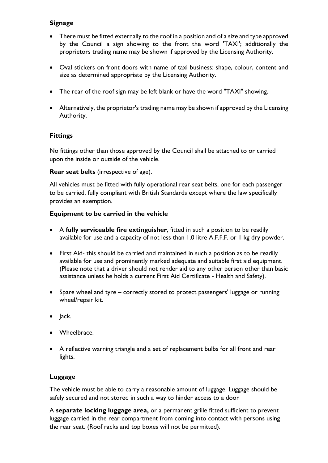## **Signage**

- There must be fitted externally to the roof in a position and of a size and type approved by the Council a sign showing to the front the word 'TAXI'; additionally the proprietors trading name may be shown if approved by the Licensing Authority.
- Oval stickers on front doors with name of taxi business: shape, colour, content and size as determined appropriate by the Licensing Authority.
- The rear of the roof sign may be left blank or have the word "TAXI" showing.
- Alternatively, the proprietor's trading name may be shown if approved by the Licensing Authority.

## **Fittings**

No fittings other than those approved by the Council shall be attached to or carried upon the inside or outside of the vehicle.

**Rear seat belts** (irrespective of age).

All vehicles must be fitted with fully operational rear seat belts, one for each passenger to be carried, fully compliant with British Standards except where the law specifically provides an exemption.

#### **Equipment to be carried in the vehicle**

- A **fully serviceable fire extinguisher**, fitted in such a position to be readily available for use and a capacity of not less than 1.0 litre A.F.F.F. or 1 kg dry powder.
- First Aid- this should be carried and maintained in such a position as to be readily available for use and prominently marked adequate and suitable first aid equipment. (Please note that a driver should not render aid to any other person other than basic assistance unless he holds a current First Aid Certificate - Health and Safety).
- Spare wheel and tyre correctly stored to protect passengers' luggage or running wheel/repair kit.
- Jack.
- Wheelbrace.
- A reflective warning triangle and a set of replacement bulbs for all front and rear lights.

#### **Luggage**

The vehicle must be able to carry a reasonable amount of luggage. Luggage should be safely secured and not stored in such a way to hinder access to a door

A **separate locking luggage area,** or a permanent grille fitted sufficient to prevent luggage carried in the rear compartment from coming into contact with persons using the rear seat. (Roof racks and top boxes will not be permitted).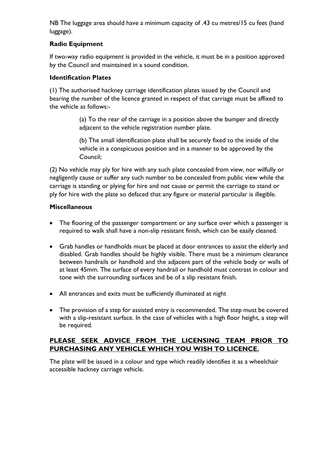NB The luggage area should have a minimum capacity of .43 cu metres/15 cu feet (hand luggage).

# **Radio Equipment**

If two-way radio equipment is provided in the vehicle, it must be in a position approved by the Council and maintained in a sound condition.

# **Identification Plates**

(1) The authorised hackney carriage identification plates issued by the Council and bearing the number of the licence granted in respect of that carriage must be affixed to the vehicle as follows:-

> (a) To the rear of the carriage in a position above the bumper and directly adjacent to the vehicle registration number plate.

> (b) The small identification plate shall be securely fixed to the inside of the vehicle in a conspicuous position and in a manner to be approved by the Council;

(2) No vehicle may ply for hire with any such plate concealed from view, nor wilfully or negligently cause or suffer any such number to be concealed from public view while the carriage is standing or plying for hire and not cause or permit the carriage to stand or ply for hire with the plate so defaced that any figure or material particular is illegible.

# **Miscellaneous**

- The flooring of the passenger compartment or any surface over which a passenger is required to walk shall have a non-slip resistant finish, which can be easily cleaned.
- Grab handles or handholds must be placed at door entrances to assist the elderly and disabled. Grab handles should be highly visible. There must be a minimum clearance between handrails or handhold and the adjacent part of the vehicle body or walls of at least 45mm. The surface of every handrail or handhold must contrast in colour and tone with the surrounding surfaces and be of a slip resistant finish.
- All entrances and exits must be sufficiently illuminated at night
- The provision of a step for assisted entry is recommended. The step must be covered with a slip-resistant surface. In the case of vehicles with a high floor height, a step will be required.

# **PLEASE SEEK ADVICE FROM THE LICENSING TEAM PRIOR TO PURCHASING ANY VEHICLE WHICH YOU WISH TO LICENCE.**

The plate will be issued in a colour and type which readily identifies it as a wheelchair accessible hackney carriage vehicle.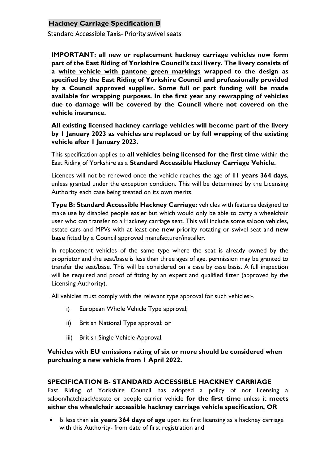# **Hackney Carriage Specification B**

Standard Accessible Taxis- Priority swivel seats

**IMPORTANT: all new or replacement hackney carriage vehicles now form part of the East Riding of Yorkshire Council's taxi livery. The livery consists of a white vehicle with pantone green markings wrapped to the design as specified by the East Riding of Yorkshire Council and professionally provided by a Council approved supplier. Some full or part funding will be made available for wrapping purposes. In the first year any rewrapping of vehicles due to damage will be covered by the Council where not covered on the vehicle insurance.**

**All existing licensed hackney carriage vehicles will become part of the livery by 1 January 2023 as vehicles are replaced or by full wrapping of the existing vehicle after 1 January 2023.**

This specification applies to **all vehicles being licensed for the first time** within the East Riding of Yorkshire as a **Standard Accessible Hackney Carriage Vehicle.**

Licences will not be renewed once the vehicle reaches the age of **11 years 364 days**, unless granted under the exception condition. This will be determined by the Licensing Authority each case being treated on its own merits.

**Type B: Standard Accessible Hackney Carriage:** vehicles with features designed to make use by disabled people easier but which would only be able to carry a wheelchair user who can transfer to a Hackney carriage seat. This will include some saloon vehicles, estate cars and MPVs with at least one **new** priority rotating or swivel seat and **new base** fitted by a Council approved manufacturer/installer.

In replacement vehicles of the same type where the seat is already owned by the proprietor and the seat/base is less than three ages of age, permission may be granted to transfer the seat/base. This will be considered on a case by case basis. A full inspection will be required and proof of fitting by an expert and qualified fitter (approved by the Licensing Authority).

All vehicles must comply with the relevant type approval for such vehicles:-.

- i) European Whole Vehicle Type approval;
- ii) British National Type approval; or
- iii) British Single Vehicle Approval.

**Vehicles with EU emissions rating of six or more should be considered when purchasing a new vehicle from 1 April 2022.**

#### **SPECIFICATION B- STANDARD ACCESSIBLE HACKNEY CARRIAGE**

East Riding of Yorkshire Council has adopted a policy of not licensing a saloon/hatchback/estate or people carrier vehicle **for the first time** unless it **meets either the wheelchair accessible hackney carriage vehicle specification, OR**

• Is less than **six years 364 days of age** upon its first licensing as a hackney carriage with this Authority- from date of first registration and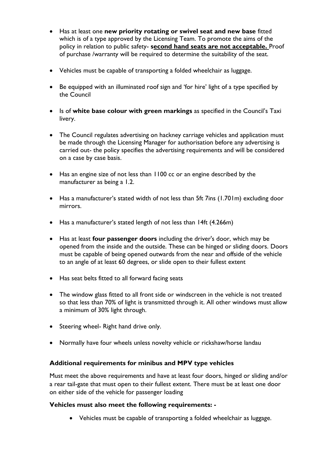- Has at least one **new priority rotating or swivel seat and new base** fitted which is of a type approved by the Licensing Team. To promote the aims of the policy in relation to public safety- **second hand seats are not acceptable.** Proof of purchase /warranty will be required to determine the suitability of the seat.
- Vehicles must be capable of transporting a folded wheelchair as luggage.
- Be equipped with an illuminated roof sign and 'for hire' light of a type specified by the Council
- Is of **white base colour with green markings** as specified in the Council's Taxi livery.
- The Council regulates advertising on hackney carriage vehicles and application must be made through the Licensing Manager for authorisation before any advertising is carried out- the policy specifies the advertising requirements and will be considered on a case by case basis.
- Has an engine size of not less than 1100 cc or an engine described by the manufacturer as being a 1.2.
- Has a manufacturer's stated width of not less than 5ft 7ins (1.701m) excluding door mirrors.
- Has a manufacturer's stated length of not less than 14ft (4.266m)
- Has at least **four passenger doors** including the driver's door, which may be opened from the inside and the outside. These can be hinged or sliding doors. Doors must be capable of being opened outwards from the near and offside of the vehicle to an angle of at least 60 degrees, or slide open to their fullest extent
- Has seat belts fitted to all forward facing seats
- The window glass fitted to all front side or windscreen in the vehicle is not treated so that less than 70% of light is transmitted through it. All other windows must allow a minimum of 30% light through.
- Steering wheel- Right hand drive only.
- Normally have four wheels unless novelty vehicle or rickshaw/horse landau

#### **Additional requirements for minibus and MPV type vehicles**

Must meet the above requirements and have at least four doors, hinged or sliding and/or a rear tail-gate that must open to their fullest extent. There must be at least one door on either side of the vehicle for passenger loading

#### **Vehicles must also meet the following requirements: -**

• Vehicles must be capable of transporting a folded wheelchair as luggage.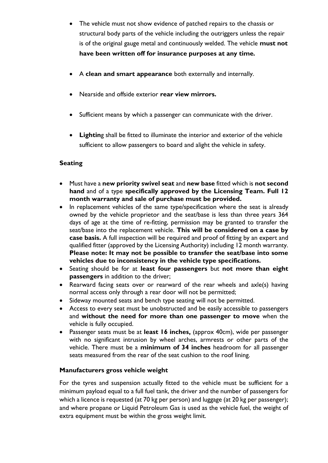- The vehicle must not show evidence of patched repairs to the chassis or structural body parts of the vehicle including the outriggers unless the repair is of the original gauge metal and continuously welded. The vehicle **must not have been written off for insurance purposes at any time***.*
- A **clean and smart appearance** both externally and internally.
- Nearside and offside exterior **rear view mirrors.**
- Sufficient means by which a passenger can communicate with the driver.
- **Lightin**g shall be fitted to illuminate the interior and exterior of the vehicle sufficient to allow passengers to board and alight the vehicle in safety.

# **Seating**

- Must have a **new priority swivel seat** and **new base** fitted which is **not second hand** and of a type **specifically approved by the Licensing Team. Full 12 month warranty and sale of purchase must be provided.**
- In replacement vehicles of the same type/specification where the seat is already owned by the vehicle proprietor and the seat/base is less than three years 364 days of age at the time of re-fitting, permission may be granted to transfer the seat/base into the replacement vehicle. **This will be considered on a case by case basis.** A full inspection will be required and proof of fitting by an expert and qualified fitter (approved by the Licensing Authority) including 12 month warranty. **Please note: It may not be possible to transfer the seat/base into some vehicles due to inconsistency in the vehicle type specifications.**
- Seating should be for at **least four passengers** but **not more than eight passengers** in addition to the driver;
- Rearward facing seats over or rearward of the rear wheels and axle(s) having normal access only through a rear door will not be permitted;
- Sideway mounted seats and bench type seating will not be permitted.
- Access to every seat must be unobstructed and be easily accessible to passengers and **without the need for more than one passenger to move** when the vehicle is fully occupied.
- Passenger seats must be at **least 16 inches,** (approx 40cm), wide per passenger with no significant intrusion by wheel arches, armrests or other parts of the vehicle. There must be a **minimum of 34 inches** headroom for all passenger seats measured from the rear of the seat cushion to the roof lining.

#### **Manufacturers gross vehicle weight**

For the tyres and suspension actually fitted to the vehicle must be sufficient for a minimum payload equal to a full fuel tank, the driver and the number of passengers for which a licence is requested (at 70 kg per person) and luggage (at 20 kg per passenger); and where propane or Liquid Petroleum Gas is used as the vehicle fuel, the weight of extra equipment must be within the gross weight limit.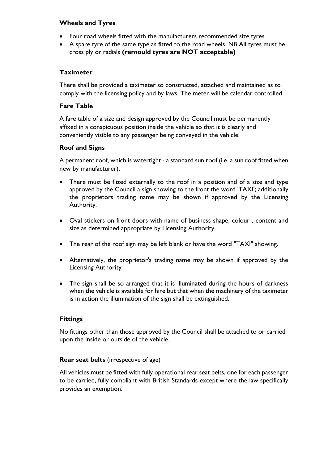#### **Wheels and Tyres**

- Four road wheels fitted with the manufacturers recommended size tyres.
- A spare tyre of the same type as fitted to the road wheels. NB All tyres must be cross ply or radials **(remould tyres are NOT acceptable)**

## **Taximeter**

There shall be provided a taximeter so constructed, attached and maintained as to comply with the licensing policy and by laws. The meter will be calendar controlled.

#### **Fare Table**

A fare table of a size and design approved by the Council must be permanently affixed in a conspicuous position inside the vehicle so that it is clearly and conveniently visible to any passenger being conveyed in the vehicle.

## **Roof and Signs**

A permanent roof, which is watertight - a standard sun roof (i.e. a sun roof fitted when new by manufacturer).

- There must be fitted externally to the roof in a position and of a size and type approved by the Council a sign showing to the front the word 'TAXI'; additionally the proprietors trading name may be shown if approved by the Licensing Authority.
- Oval stickers on front doors with name of business shape, colour , content and size as determined appropriate by Licensing Authority
- The rear of the roof sign may be left blank or have the word "TAXI" showing.
- Alternatively, the proprietor's trading name may be shown if approved by the Licensing Authority
- The sign shall be so arranged that it is illuminated during the hours of darkness when the vehicle is available for hire but that when the machinery of the taximeter is in action the illumination of the sign shall be extinguished.

#### **Fittings**

No fittings other than those approved by the Council shall be attached to or carried upon the inside or outside of the vehicle.

#### **Rear seat belts** (irrespective of age)

All vehicles must be fitted with fully operational rear seat belts, one for each passenger to be carried, fully compliant with British Standards except where the law specifically provides an exemption.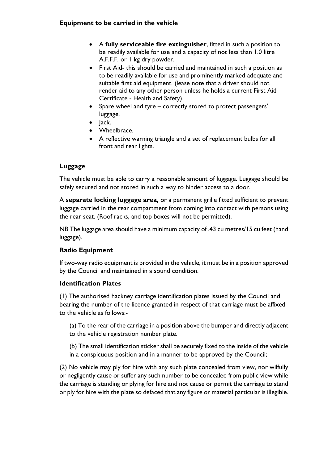# **Equipment to be carried in the vehicle**

- A **fully serviceable fire extinguisher**, fitted in such a position to be readily available for use and a capacity of not less than 1.0 litre A.F.F.F. or 1 kg dry powder.
- First Aid- this should be carried and maintained in such a position as to be readily available for use and prominently marked adequate and suitable first aid equipment. (lease note that a driver should not render aid to any other person unless he holds a current First Aid Certificate - Health and Safety).
- Spare wheel and tyre correctly stored to protect passengers' luggage.
- Jack.
- Wheelbrace.
- A reflective warning triangle and a set of replacement bulbs for all front and rear lights.

## **Luggage**

The vehicle must be able to carry a reasonable amount of luggage. Luggage should be safely secured and not stored in such a way to hinder access to a door.

A **separate locking luggage area,** or a permanent grille fitted sufficient to prevent luggage carried in the rear compartment from coming into contact with persons using the rear seat. (Roof racks, and top boxes will not be permitted).

NB The luggage area should have a minimum capacity of .43 cu metres/15 cu feet (hand luggage).

#### **Radio Equipment**

If two-way radio equipment is provided in the vehicle, it must be in a position approved by the Council and maintained in a sound condition.

#### **Identification Plates**

(1) The authorised hackney carriage identification plates issued by the Council and bearing the number of the licence granted in respect of that carriage must be affixed to the vehicle as follows:-

(a) To the rear of the carriage in a position above the bumper and directly adjacent to the vehicle registration number plate.

(b) The small identification sticker shall be securely fixed to the inside of the vehicle in a conspicuous position and in a manner to be approved by the Council;

(2) No vehicle may ply for hire with any such plate concealed from view, nor wilfully or negligently cause or suffer any such number to be concealed from public view while the carriage is standing or plying for hire and not cause or permit the carriage to stand or ply for hire with the plate so defaced that any figure or material particular is illegible.